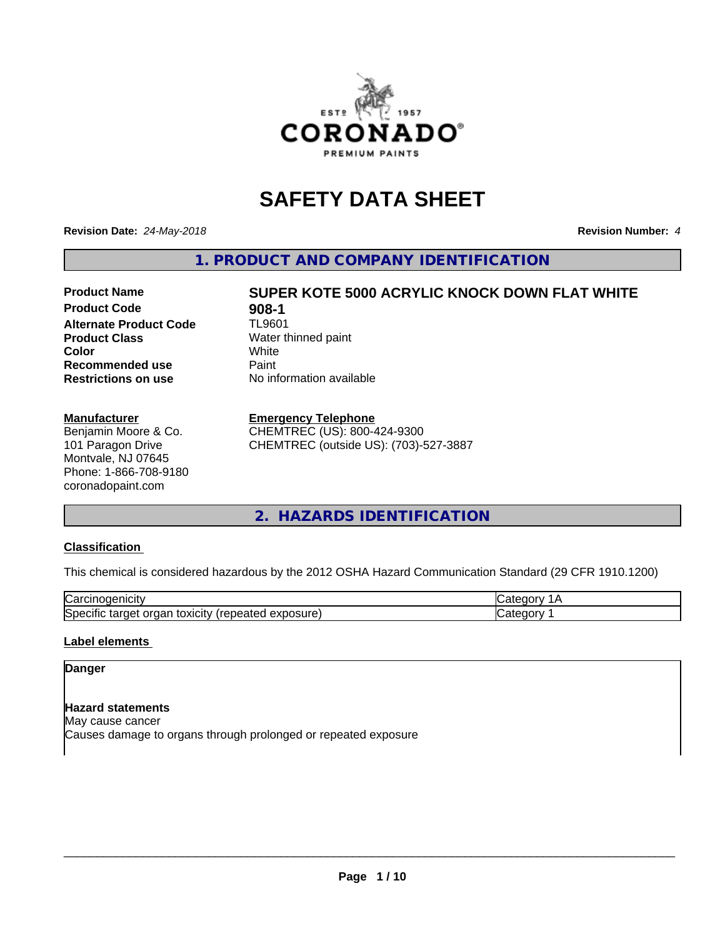

## **SAFETY DATA SHEET**

**Revision Date:** *24-May-2018* **Revision Number:** *4*

**1. PRODUCT AND COMPANY IDENTIFICATION**

### **Product Name SUPER KOTE 5000 ACRYLIC KNOCK DOWN FLAT WHITE Product Code 61 908-1**<br>**Alternate Product Code** TL9601 **Alternate Product Code Product Class** Water thinned paint<br> **Color** White **Recommended use** Paint **Restrictions on use** No information available

# **Color** White White

#### **Manufacturer**

Benjamin Moore & Co. 101 Paragon Drive Montvale, NJ 07645 Phone: 1-866-708-9180 coronadopaint.com

#### **Emergency Telephone**

CHEMTREC (US): 800-424-9300 CHEMTREC (outside US): (703)-527-3887

#### **2. HAZARDS IDENTIFICATION**

#### **Classification**

This chemical is considered hazardous by the 2012 OSHA Hazard Communication Standard (29 CFR 1910.1200)

| ∽<br>- -<br>'الأب<br>70 J.H<br>                                                          |   |
|------------------------------------------------------------------------------------------|---|
| osure<br>. .<br>.<br>50er<br>τοχιςιτν<br>arne <sub>t</sub><br>oai<br>ши<br>saist.<br>じハリ | . |

#### **Label elements**

#### **Danger**

**Hazard statements** May cause cancer Causes damage to organs through prolonged or repeated exposure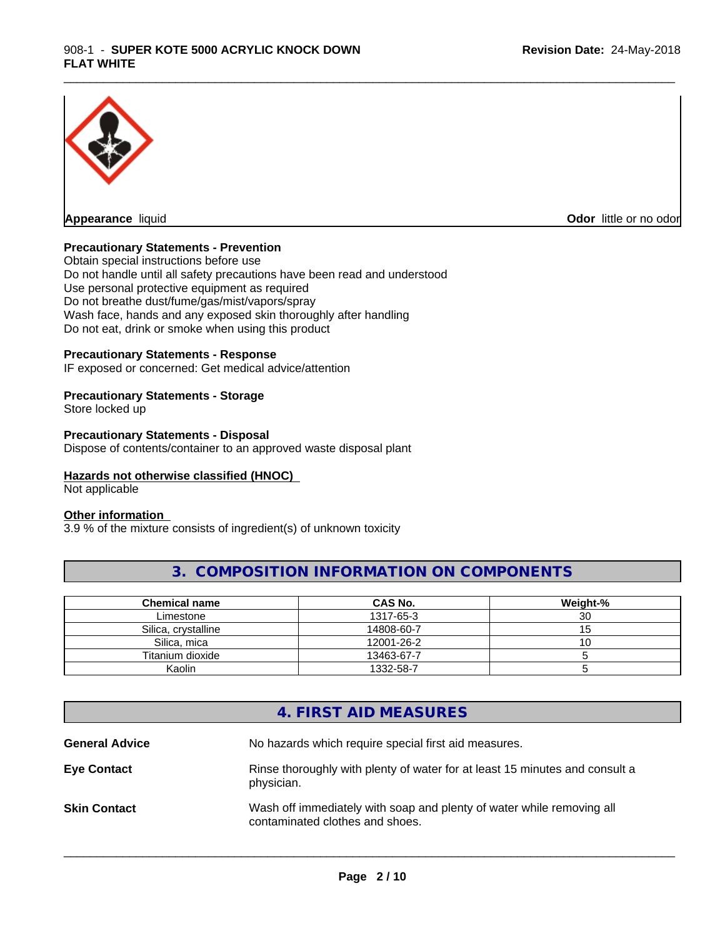

**Odor** little or no odor

#### **Precautionary Statements - Prevention**

Obtain special instructions before use Do not handle until all safety precautions have been read and understood Use personal protective equipment as required Do not breathe dust/fume/gas/mist/vapors/spray Wash face, hands and any exposed skin thoroughly after handling Do not eat, drink or smoke when using this product

#### **Precautionary Statements - Response**

IF exposed or concerned: Get medical advice/attention

#### **Precautionary Statements - Storage**

Store locked up

#### **Precautionary Statements - Disposal**

Dispose of contents/container to an approved waste disposal plant

#### **Hazards not otherwise classified (HNOC)**

Not applicable

#### **Other information**

3.9 % of the mixture consists of ingredient(s) of unknown toxicity

#### **3. COMPOSITION INFORMATION ON COMPONENTS**

\_\_\_\_\_\_\_\_\_\_\_\_\_\_\_\_\_\_\_\_\_\_\_\_\_\_\_\_\_\_\_\_\_\_\_\_\_\_\_\_\_\_\_\_\_\_\_\_\_\_\_\_\_\_\_\_\_\_\_\_\_\_\_\_\_\_\_\_\_\_\_\_\_\_\_\_\_\_\_\_\_\_\_\_\_\_\_\_\_\_\_\_\_

| Chemical name       | <b>CAS No.</b> | Weight-% |
|---------------------|----------------|----------|
| Limestone           | 1317-65-3      | 30       |
| Silica, crystalline | 14808-60-7     |          |
| Silica, mica        | 12001-26-2     | ັບ       |
| Titanium dioxide    | 13463-67-7     |          |
| Kaolin              | 1332-58-7      |          |

### **4. FIRST AID MEASURES**

| <b>General Advice</b> | No hazards which require special first aid measures.                                                     |
|-----------------------|----------------------------------------------------------------------------------------------------------|
| <b>Eye Contact</b>    | Rinse thoroughly with plenty of water for at least 15 minutes and consult a<br>physician.                |
| <b>Skin Contact</b>   | Wash off immediately with soap and plenty of water while removing all<br>contaminated clothes and shoes. |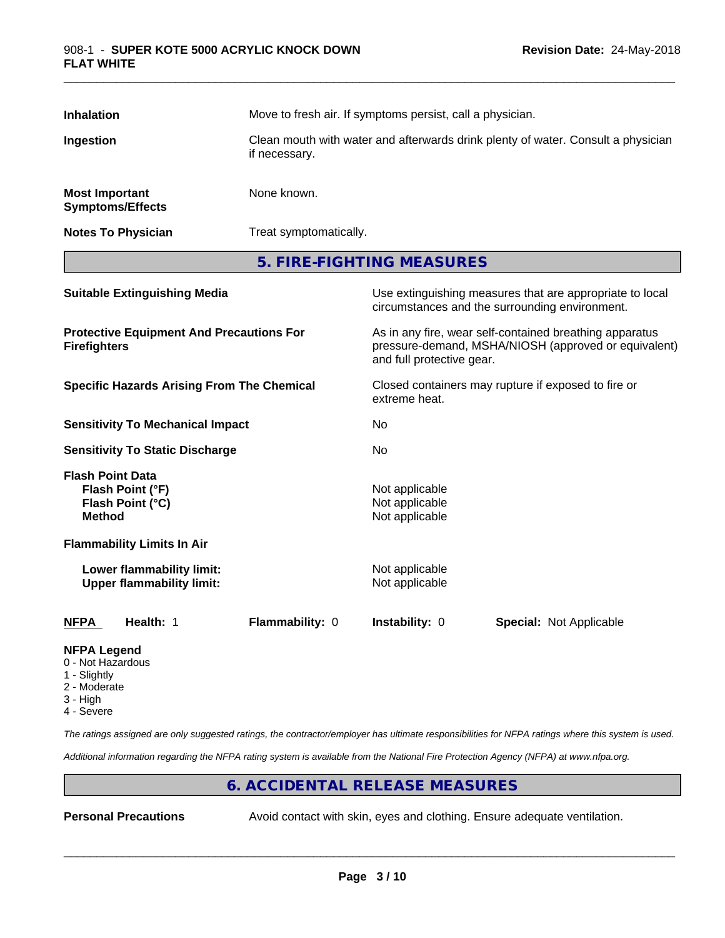| <b>Inhalation</b>                                                      | Move to fresh air. If symptoms persist, call a physician.                                         |                                                                                                                                              |  |  |
|------------------------------------------------------------------------|---------------------------------------------------------------------------------------------------|----------------------------------------------------------------------------------------------------------------------------------------------|--|--|
| Ingestion                                                              | Clean mouth with water and afterwards drink plenty of water. Consult a physician<br>if necessary. |                                                                                                                                              |  |  |
| <b>Most Important</b><br><b>Symptoms/Effects</b>                       | None known.                                                                                       |                                                                                                                                              |  |  |
| <b>Notes To Physician</b>                                              |                                                                                                   | Treat symptomatically.                                                                                                                       |  |  |
|                                                                        |                                                                                                   | 5. FIRE-FIGHTING MEASURES                                                                                                                    |  |  |
| <b>Suitable Extinguishing Media</b>                                    |                                                                                                   | Use extinguishing measures that are appropriate to local<br>circumstances and the surrounding environment.                                   |  |  |
| <b>Protective Equipment And Precautions For</b><br><b>Firefighters</b> |                                                                                                   | As in any fire, wear self-contained breathing apparatus<br>pressure-demand, MSHA/NIOSH (approved or equivalent)<br>and full protective gear. |  |  |
| <b>Specific Hazards Arising From The Chemical</b>                      |                                                                                                   | Closed containers may rupture if exposed to fire or<br>extreme heat.                                                                         |  |  |
| <b>Sensitivity To Mechanical Impact</b>                                |                                                                                                   | No.                                                                                                                                          |  |  |

**Sensitivity To Static Discharge** No **Flash Point Data Flash Point (°F)**<br> **Flash Point (°C)**<br> **Flash Point (°C)**<br> **C Flash Point (°C)** 

**Flammability Limits In Air**

**Lower flammability limit:**<br>
Upper flammability limit:<br>
Upper flammability limit:<br>
Not applicable **Upper flammability limit:** 

**Method** Not applicable

#### **NFPA Health:** 1 **Flammability:** 0 **Instability:** 0 **Special:** Not Applicable

**NFPA Legend**

- 0 Not Hazardous
- 1 Slightly
- 2 Moderate
- 3 High
- 4 Severe

*The ratings assigned are only suggested ratings, the contractor/employer has ultimate responsibilities for NFPA ratings where this system is used.*

*Additional information regarding the NFPA rating system is available from the National Fire Protection Agency (NFPA) at www.nfpa.org.*

#### **6. ACCIDENTAL RELEASE MEASURES**

**Personal Precautions** Avoid contact with skin, eyes and clothing. Ensure adequate ventilation.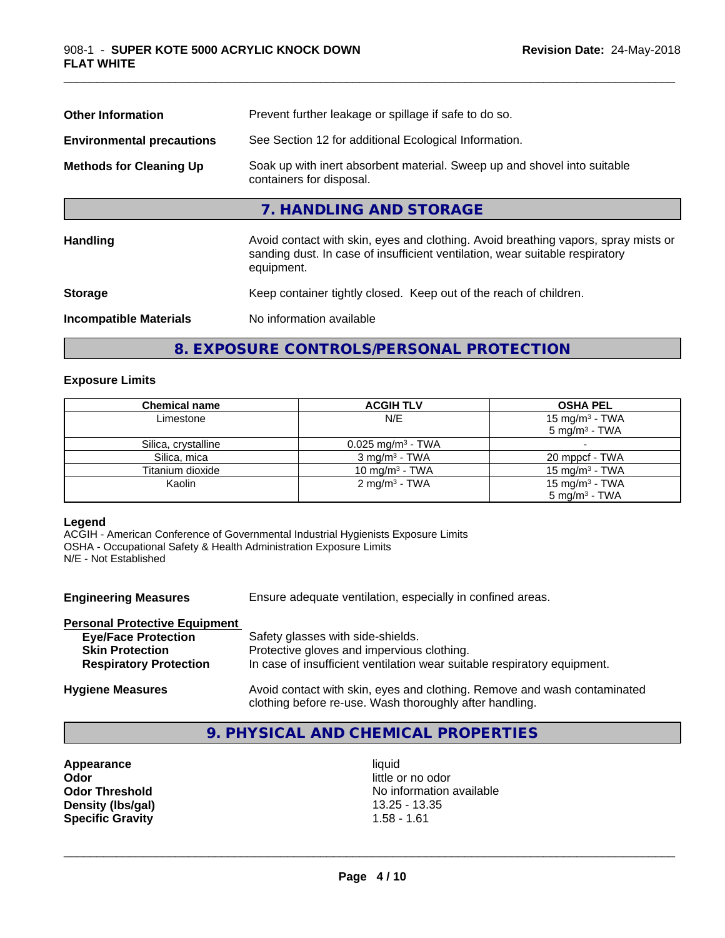| <b>Other Information</b>         | Prevent further leakage or spillage if safe to do so.                                                                                                                            |  |  |
|----------------------------------|----------------------------------------------------------------------------------------------------------------------------------------------------------------------------------|--|--|
| <b>Environmental precautions</b> | See Section 12 for additional Ecological Information.                                                                                                                            |  |  |
| <b>Methods for Cleaning Up</b>   | Soak up with inert absorbent material. Sweep up and shovel into suitable<br>containers for disposal.                                                                             |  |  |
|                                  | 7. HANDLING AND STORAGE                                                                                                                                                          |  |  |
| Handling                         | Avoid contact with skin, eyes and clothing. Avoid breathing vapors, spray mists or<br>sanding dust. In case of insufficient ventilation, wear suitable respiratory<br>equipment. |  |  |
| <b>Storage</b>                   | Keep container tightly closed. Keep out of the reach of children.                                                                                                                |  |  |
| <b>Incompatible Materials</b>    | No information available                                                                                                                                                         |  |  |

#### **8. EXPOSURE CONTROLS/PERSONAL PROTECTION**

#### **Exposure Limits**

| <b>Chemical name</b> | <b>ACGIH TLV</b>                | <b>OSHA PEL</b>            |
|----------------------|---------------------------------|----------------------------|
| Limestone            | N/E                             | 15 mg/m <sup>3</sup> - TWA |
|                      |                                 | $5 \text{ ma/m}^3$ - TWA   |
| Silica, crystalline  | $0.025$ mg/m <sup>3</sup> - TWA |                            |
| Silica, mica         | $3 \text{ mg/m}^3$ - TWA        | 20 mppcf - TWA             |
| Titanium dioxide     | 10 mg/m <sup>3</sup> - TWA      | 15 mg/m <sup>3</sup> - TWA |
| Kaolin               | 2 mg/m <sup>3</sup> - TWA       | 15 mg/m <sup>3</sup> - TWA |
|                      |                                 | $5 \text{ ma/m}^3$ - TWA   |

#### **Legend**

ACGIH - American Conference of Governmental Industrial Hygienists Exposure Limits OSHA - Occupational Safety & Health Administration Exposure Limits N/E - Not Established

| <b>Engineering Measures</b>          | Ensure adequate ventilation, especially in confined areas.                                                                          |  |  |
|--------------------------------------|-------------------------------------------------------------------------------------------------------------------------------------|--|--|
| <b>Personal Protective Equipment</b> |                                                                                                                                     |  |  |
| <b>Eye/Face Protection</b>           | Safety glasses with side-shields.                                                                                                   |  |  |
| <b>Skin Protection</b>               | Protective gloves and impervious clothing.                                                                                          |  |  |
| <b>Respiratory Protection</b>        | In case of insufficient ventilation wear suitable respiratory equipment.                                                            |  |  |
| <b>Hygiene Measures</b>              | Avoid contact with skin, eyes and clothing. Remove and wash contaminated<br>clothing before re-use. Wash thoroughly after handling. |  |  |

#### **9. PHYSICAL AND CHEMICAL PROPERTIES**

**Appearance** liquid<br> **Appearance** liquid<br> **Odor** little c **Density (Ibs/gal)** 13.25 - 13.35 **- 13.35 - 13.35 - 13.35 - 13.35 - 13.35 - 13.35 - 13.35 - 13.35 - 13.35 - 13.35 - 13.35 - 13.35 - 13.35 - 13.35 - 13.35 - 13.35 - 13.35 - 13.35 - 13.35 - 13.35 - 13.35 - 13.35 - 13.35 - 1 Specific Gravity** 

little or no odor **Odor Threshold**<br> **Density (Ibs/gal)**<br> **Density (Ibs/gal)**<br> **Compared Alternation available**<br>
13.25 - 13.35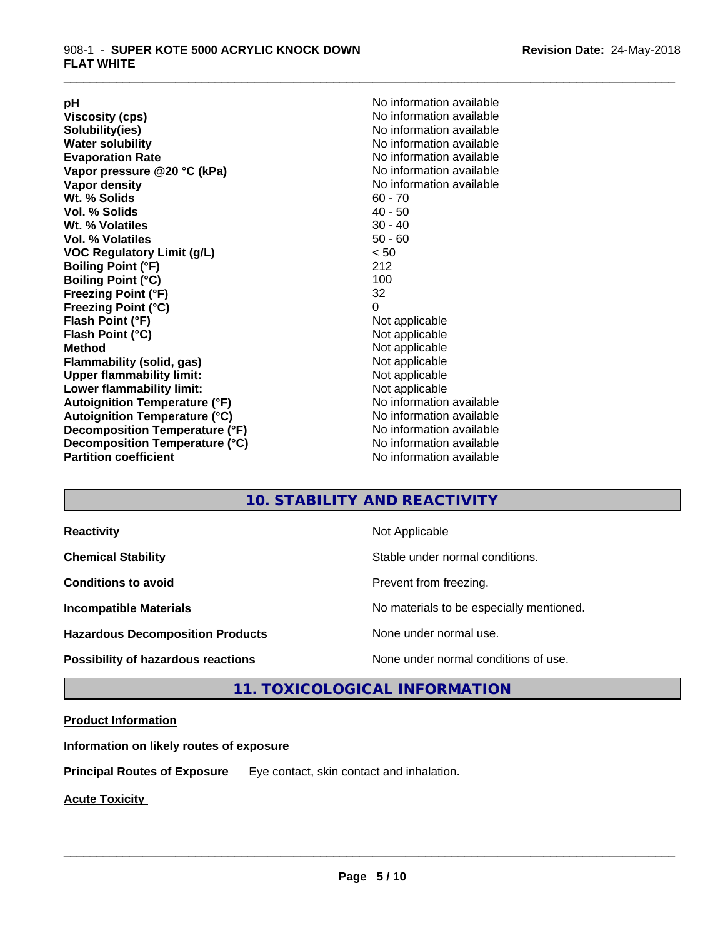**Viscosity (cps)** <br> **Viscosity (cps)** No information available<br>
No information available<br>
No information available **Water solubility Water solubility Water solubility Water solubility Water solubility Water solution Evaporation Rate**<br> **Vapor pressure @20 °C (kPa)** No information available<br>
No information available **Vapor** pressure @20 °C (kPa) **Vapor density No information available Wt. % Solids** 60 - 70<br> **Vol. % Solids** 60 - 70<br> **Vol. % Solids** 40 - 50 **Vol. % Solids Wt.** % Volatiles 30 - 40 **Vol. % Volatiles** 50 - 60 **VOC Regulatory Limit (g/L)** < 50 **Boiling Point (°F)** 212 **Boiling Point (°C) Freezing Point (°F)** 32 **Freezing Point (°C)** 0 **Flash Point (°F)** Not applicable **Flash Point (°C)** Not applicable **Method**<br> **Flammability (solid, gas)**<br> **Example 2018** Not applicable **Flammability** (solid, gas) **Upper flammability limit:** Not applicable **Lower flammability limit:** Not applicable **Autoignition Temperature (°F)** No information available **Autoignition Temperature (°C)**<br> **Decomposition Temperature (°F)** No information available **Decomposition Temperature (°F) Decomposition Temperature (°C)** No information available<br> **Partition coefficient Partition available** 

**pH**<br>
Viscosity (cps) The Contract of the Contract of No information available<br>
No information available **Solubility(ies)** No information available **No information available** 

\_\_\_\_\_\_\_\_\_\_\_\_\_\_\_\_\_\_\_\_\_\_\_\_\_\_\_\_\_\_\_\_\_\_\_\_\_\_\_\_\_\_\_\_\_\_\_\_\_\_\_\_\_\_\_\_\_\_\_\_\_\_\_\_\_\_\_\_\_\_\_\_\_\_\_\_\_\_\_\_\_\_\_\_\_\_\_\_\_\_\_\_\_

#### **10. STABILITY AND REACTIVITY**

| <b>Reactivity</b>                         | Not Applicable                           |
|-------------------------------------------|------------------------------------------|
| <b>Chemical Stability</b>                 | Stable under normal conditions.          |
| <b>Conditions to avoid</b>                | Prevent from freezing.                   |
| <b>Incompatible Materials</b>             | No materials to be especially mentioned. |
| <b>Hazardous Decomposition Products</b>   | None under normal use.                   |
| <b>Possibility of hazardous reactions</b> | None under normal conditions of use.     |

#### **11. TOXICOLOGICAL INFORMATION**

#### **Product Information**

**Information on likely routes of exposure**

**Principal Routes of Exposure** Eye contact, skin contact and inhalation.

**Acute Toxicity**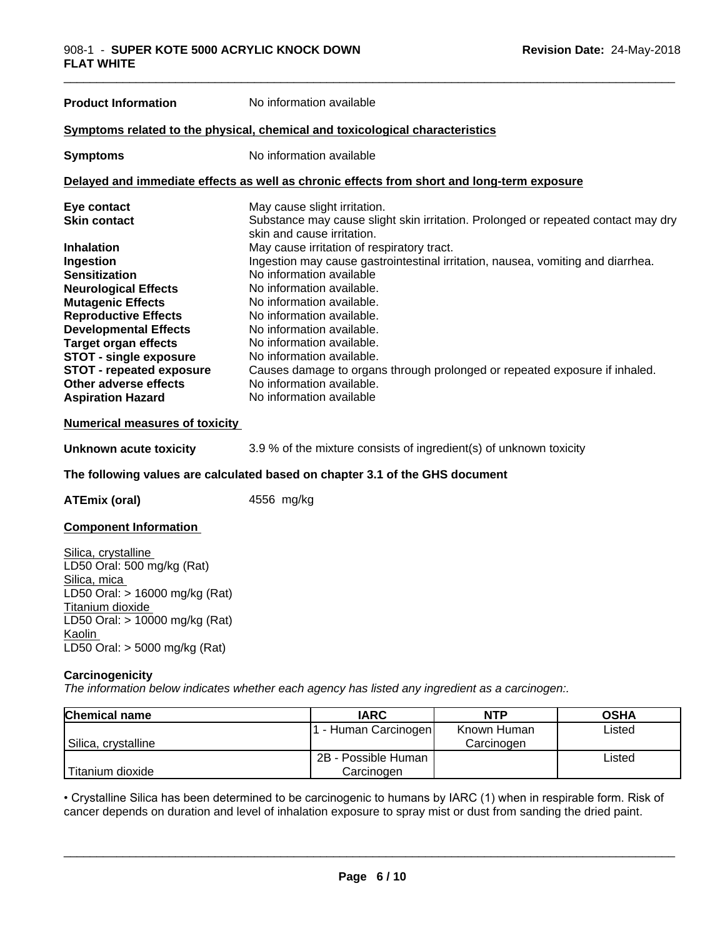| <b>Product Information</b>                                                   | No information available                                                                                        |  |
|------------------------------------------------------------------------------|-----------------------------------------------------------------------------------------------------------------|--|
|                                                                              | Symptoms related to the physical, chemical and toxicological characteristics                                    |  |
| <b>Symptoms</b>                                                              | No information available                                                                                        |  |
|                                                                              | Delayed and immediate effects as well as chronic effects from short and long-term exposure                      |  |
| Eye contact                                                                  | May cause slight irritation.                                                                                    |  |
| <b>Skin contact</b>                                                          | Substance may cause slight skin irritation. Prolonged or repeated contact may dry<br>skin and cause irritation. |  |
| <b>Inhalation</b>                                                            | May cause irritation of respiratory tract.                                                                      |  |
| Ingestion                                                                    | Ingestion may cause gastrointestinal irritation, nausea, vomiting and diarrhea.                                 |  |
| <b>Sensitization</b>                                                         | No information available                                                                                        |  |
| <b>Neurological Effects</b>                                                  | No information available.                                                                                       |  |
| <b>Mutagenic Effects</b>                                                     | No information available.                                                                                       |  |
| <b>Reproductive Effects</b>                                                  | No information available.                                                                                       |  |
| <b>Developmental Effects</b>                                                 | No information available.                                                                                       |  |
| <b>Target organ effects</b>                                                  | No information available.                                                                                       |  |
| <b>STOT - single exposure</b>                                                | No information available.                                                                                       |  |
| <b>STOT - repeated exposure</b>                                              | Causes damage to organs through prolonged or repeated exposure if inhaled.                                      |  |
| Other adverse effects                                                        | No information available.                                                                                       |  |
| <b>Aspiration Hazard</b>                                                     | No information available                                                                                        |  |
| <b>Numerical measures of toxicity</b>                                        |                                                                                                                 |  |
| Unknown acute toxicity                                                       | 3.9 % of the mixture consists of ingredient(s) of unknown toxicity                                              |  |
| The following values are calculated based on chanter 2.1 of the CUS decument |                                                                                                                 |  |

#### **The following values are calculated based on chapter 3.1 of the GHS document**

**ATEmix (oral)** 4556 mg/kg

#### **Component Information**

Silica, crystalline LD50 Oral: 500 mg/kg (Rat) Silica, mica LD50 Oral: > 16000 mg/kg (Rat) Titanium dioxide LD50 Oral: > 10000 mg/kg (Rat) Kaolin LD50 Oral: > 5000 mg/kg (Rat)

#### **Carcinogenicity**

*The information below indicateswhether each agency has listed any ingredient as a carcinogen:.*

| <b>Chemical name</b> | <b>IARC</b>          | NTP         | <b>OSHA</b> |
|----------------------|----------------------|-------------|-------------|
|                      | . - Human Carcinogen | Known Human | Listed      |
| Silica, crystalline  |                      | Carcinogen  |             |
|                      | 2B - Possible Human  |             | Listed      |
| Titanium dioxide     | Carcinogen           |             |             |

**Page 6 / 10** • Crystalline Silica has been determined to be carcinogenic to humans by IARC (1) when in respirable form. Risk of cancer depends on duration and level of inhalation exposure to spray mist or dust from sandin cancer depends on duration and level of inhalation exposure to spray mist or dust from sanding the dried paint.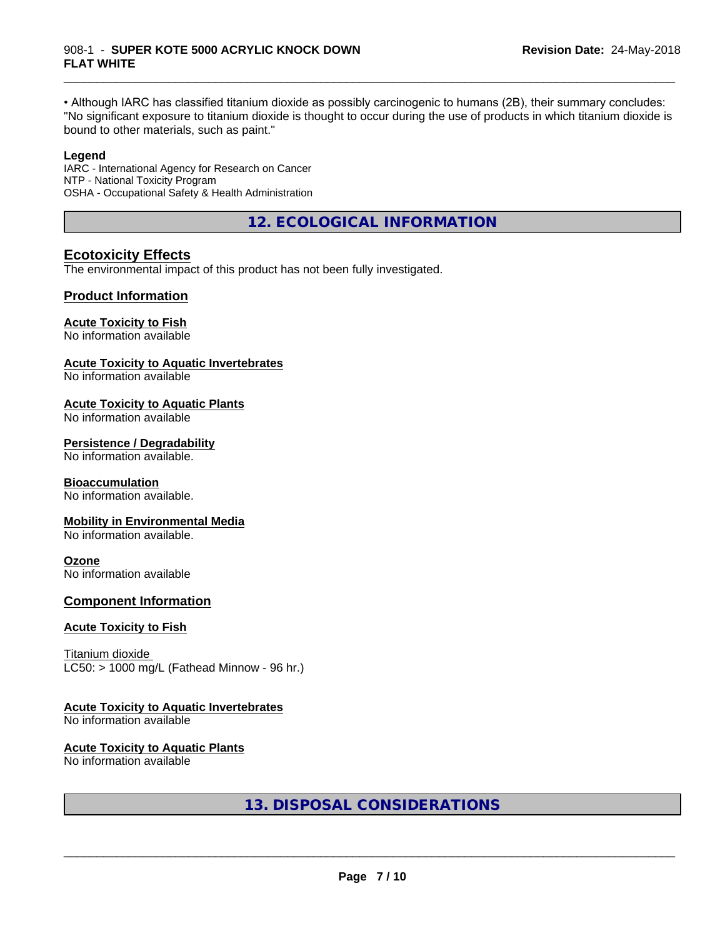#### 908-1 - **SUPER KOTE 5000 ACRYLIC KNOCK DOWN FLAT WHITE**

• Although IARC has classified titanium dioxide as possibly carcinogenic to humans (2B), their summary concludes: "No significant exposure to titanium dioxide is thought to occur during the use of products in which titanium dioxide is bound to other materials, such as paint."

\_\_\_\_\_\_\_\_\_\_\_\_\_\_\_\_\_\_\_\_\_\_\_\_\_\_\_\_\_\_\_\_\_\_\_\_\_\_\_\_\_\_\_\_\_\_\_\_\_\_\_\_\_\_\_\_\_\_\_\_\_\_\_\_\_\_\_\_\_\_\_\_\_\_\_\_\_\_\_\_\_\_\_\_\_\_\_\_\_\_\_\_\_

#### **Legend**

IARC - International Agency for Research on Cancer NTP - National Toxicity Program OSHA - Occupational Safety & Health Administration

**12. ECOLOGICAL INFORMATION**

#### **Ecotoxicity Effects**

The environmental impact of this product has not been fully investigated.

#### **Product Information**

#### **Acute Toxicity to Fish**

No information available

#### **Acute Toxicity to Aquatic Invertebrates**

No information available

#### **Acute Toxicity to Aquatic Plants**

No information available

#### **Persistence / Degradability**

No information available.

#### **Bioaccumulation**

No information available.

#### **Mobility in Environmental Media**

No information available.

#### **Ozone**

No information available

#### **Component Information**

#### **Acute Toxicity to Fish**

Titanium dioxide  $LC50:$  > 1000 mg/L (Fathead Minnow - 96 hr.)

#### **Acute Toxicity to Aquatic Invertebrates**

No information available

#### **Acute Toxicity to Aquatic Plants**

No information available

**13. DISPOSAL CONSIDERATIONS**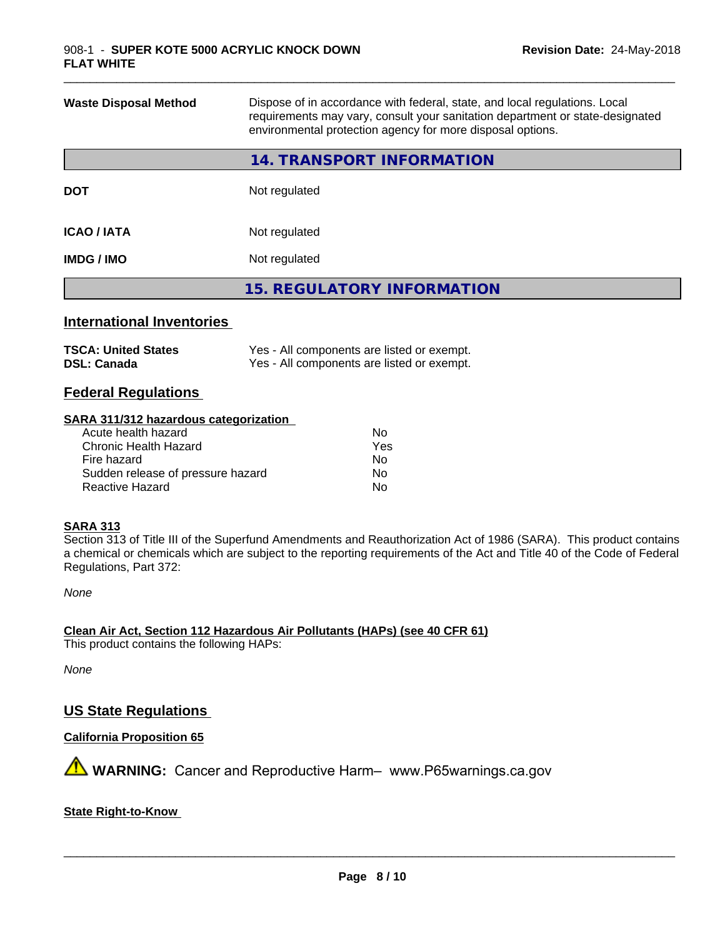| <b>Waste Disposal Method</b> | Dispose of in accordance with federal, state, and local regulations. Local<br>requirements may vary, consult your sanitation department or state-designated<br>environmental protection agency for more disposal options. |  |  |
|------------------------------|---------------------------------------------------------------------------------------------------------------------------------------------------------------------------------------------------------------------------|--|--|
|                              | 14. TRANSPORT INFORMATION                                                                                                                                                                                                 |  |  |
| <b>DOT</b>                   | Not regulated                                                                                                                                                                                                             |  |  |
| <b>ICAO / IATA</b>           | Not regulated                                                                                                                                                                                                             |  |  |
| <b>IMDG/IMO</b>              | Not regulated                                                                                                                                                                                                             |  |  |
|                              | <b>15. REGULATORY INFORMATION</b>                                                                                                                                                                                         |  |  |
|                              |                                                                                                                                                                                                                           |  |  |

\_\_\_\_\_\_\_\_\_\_\_\_\_\_\_\_\_\_\_\_\_\_\_\_\_\_\_\_\_\_\_\_\_\_\_\_\_\_\_\_\_\_\_\_\_\_\_\_\_\_\_\_\_\_\_\_\_\_\_\_\_\_\_\_\_\_\_\_\_\_\_\_\_\_\_\_\_\_\_\_\_\_\_\_\_\_\_\_\_\_\_\_\_

#### **International Inventories**

| <b>TSCA: United States</b> | Yes - All components are listed or exempt. |
|----------------------------|--------------------------------------------|
| <b>DSL: Canada</b>         | Yes - All components are listed or exempt. |

#### **Federal Regulations**

#### **SARA 311/312 hazardous categorization**

| No. |
|-----|
| Yes |
| No. |
| Nο  |
| N٥  |
|     |

#### **SARA 313**

Section 313 of Title III of the Superfund Amendments and Reauthorization Act of 1986 (SARA). This product contains a chemical or chemicals which are subject to the reporting requirements of the Act and Title 40 of the Code of Federal Regulations, Part 372:

*None*

**Clean Air Act,Section 112 Hazardous Air Pollutants (HAPs) (see 40 CFR 61)**

This product contains the following HAPs:

*None*

#### **US State Regulations**

**California Proposition 65**

**A** WARNING: Cancer and Reproductive Harm– www.P65warnings.ca.gov

#### **State Right-to-Know**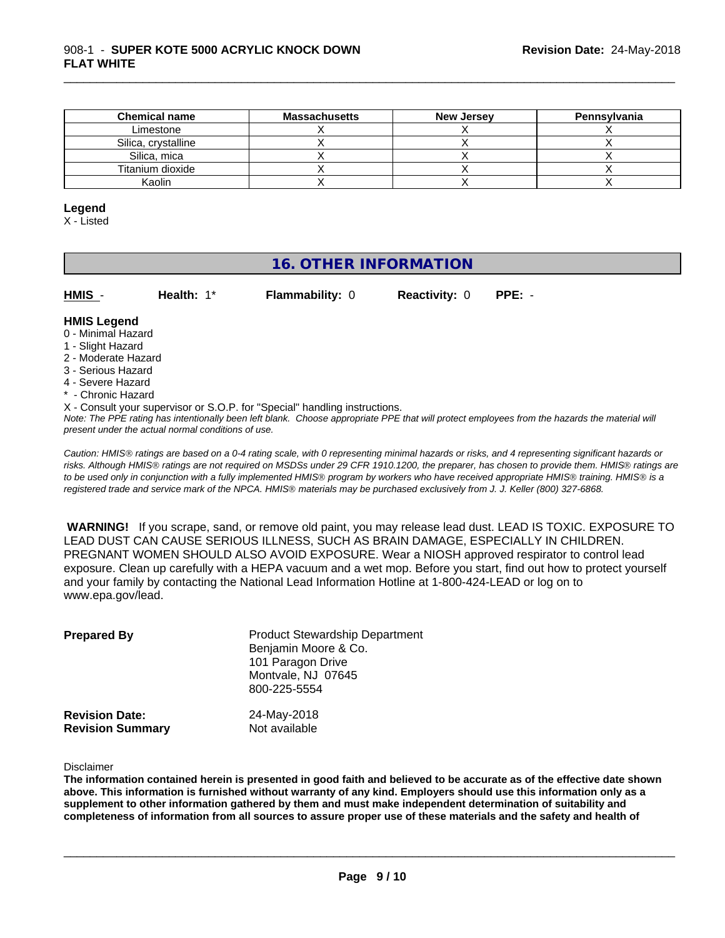| <b>Chemical name</b> | <b>Massachusetts</b> | <b>New Jersey</b> | Pennsylvania |
|----------------------|----------------------|-------------------|--------------|
| Limestone            |                      |                   |              |
| Silica, crystalline  |                      |                   |              |
| Silica, mica         |                      |                   |              |
| Titanium dioxide     |                      |                   |              |
| Kaolin               |                      |                   |              |

#### **Legend**

X - Listed

### **16. OTHER INFORMATION**

| <b>HMIS</b> |  |  |
|-------------|--|--|
|             |  |  |

**HMIS** - **Health:** 1\* **Flammability:** 0 **Reactivity:** 0 **PPE:** -

\_\_\_\_\_\_\_\_\_\_\_\_\_\_\_\_\_\_\_\_\_\_\_\_\_\_\_\_\_\_\_\_\_\_\_\_\_\_\_\_\_\_\_\_\_\_\_\_\_\_\_\_\_\_\_\_\_\_\_\_\_\_\_\_\_\_\_\_\_\_\_\_\_\_\_\_\_\_\_\_\_\_\_\_\_\_\_\_\_\_\_\_\_

#### **HMIS Legend**

- 0 Minimal Hazard
- 1 Slight Hazard
- 2 Moderate Hazard
- 3 Serious Hazard
- 4 Severe Hazard
- \* Chronic Hazard
- X Consult your supervisor or S.O.P. for "Special" handling instructions.

*Note: The PPE rating has intentionally been left blank. Choose appropriate PPE that will protect employees from the hazards the material will present under the actual normal conditions of use.*

*Caution: HMISÒ ratings are based on a 0-4 rating scale, with 0 representing minimal hazards or risks, and 4 representing significant hazards or risks. Although HMISÒ ratings are not required on MSDSs under 29 CFR 1910.1200, the preparer, has chosen to provide them. HMISÒ ratings are to be used only in conjunction with a fully implemented HMISÒ program by workers who have received appropriate HMISÒ training. HMISÒ is a registered trade and service mark of the NPCA. HMISÒ materials may be purchased exclusively from J. J. Keller (800) 327-6868.*

 **WARNING!** If you scrape, sand, or remove old paint, you may release lead dust. LEAD IS TOXIC. EXPOSURE TO LEAD DUST CAN CAUSE SERIOUS ILLNESS, SUCH AS BRAIN DAMAGE, ESPECIALLY IN CHILDREN. PREGNANT WOMEN SHOULD ALSO AVOID EXPOSURE.Wear a NIOSH approved respirator to control lead exposure. Clean up carefully with a HEPA vacuum and a wet mop. Before you start, find out how to protect yourself and your family by contacting the National Lead Information Hotline at 1-800-424-LEAD or log on to www.epa.gov/lead.

| <b>Prepared By</b>                               | <b>Product Stewardship Department</b><br>Benjamin Moore & Co.<br>101 Paragon Drive<br>Montvale, NJ 07645<br>800-225-5554 |  |
|--------------------------------------------------|--------------------------------------------------------------------------------------------------------------------------|--|
| <b>Revision Date:</b><br><b>Revision Summary</b> | 24-May-2018<br>Not available                                                                                             |  |

Disclaimer

The information contained herein is presented in good faith and believed to be accurate as of the effective date shown above. This information is furnished without warranty of any kind. Employers should use this information only as a **supplement to other information gathered by them and must make independent determination of suitability and** completeness of information from all sources to assure proper use of these materials and the safety and health of